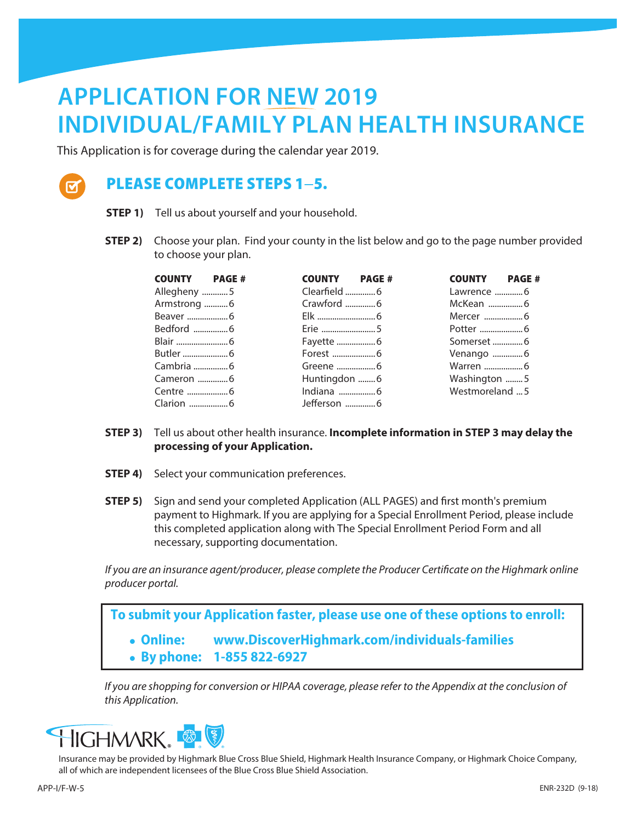## **APPLICATION FOR NEW 2019 INDIVIDUAL/FAMILY PLAN HEALTH INSURANCE**

This Application is for coverage during the calendar year 2019.



### PLEASE COMPLETE STEPS 1−5.

- **STEP 1)** Tell us about yourself and your household.
- **STEP 2)** Choose your plan. Find your county in the list below and go to the page number provided to choose your plan.

| <b>COUNTY</b> PAGE # | <b>COUNTY</b> PAGE # | <b>COUNTY PAGE#</b> |
|----------------------|----------------------|---------------------|
| Allegheny 5          | Clearfield 6         |                     |
| Armstrong  6         | Crawford 6           |                     |
|                      |                      |                     |
|                      |                      |                     |
|                      |                      |                     |
|                      |                      | Venango 6           |
|                      |                      |                     |
|                      | Huntingdon  6        | Washington 5        |
|                      |                      | Westmoreland  5     |
|                      | Jefferson 6          |                     |

- **STEP 3)** Tell us about other health insurance. **Incomplete information in STEP 3 may delay the processing of your Application.**
- **STEP 4)** Select your communication preferences.
- **STEP 5)** Sign and send your completed Application (ALL PAGES) and first month's premium payment to Highmark. If you are applying for a Special Enrollment Period, please include this completed application along with The Special Enrollment Period Form and all necessary, supporting documentation.

*If you are an insurance agent/producer, please complete the Producer Certificate on the Highmark online producer portal.*

**To submit your Application faster, please use one of these options to enroll:** <sup>l</sup> **Online: www.DiscoverHighmark.com/individuals-families**  <sup>l</sup> **By phone: 1-855 822-6927**

*If you are shopping for conversion or HIPAA coverage, please refer to the Appendix at the conclusion of this Application.*



Insurance may be provided by Highmark Blue Cross Blue Shield, Highmark Health Insurance Company, or Highmark Choice Company, all of which are independent licensees of the Blue Cross Blue Shield Association.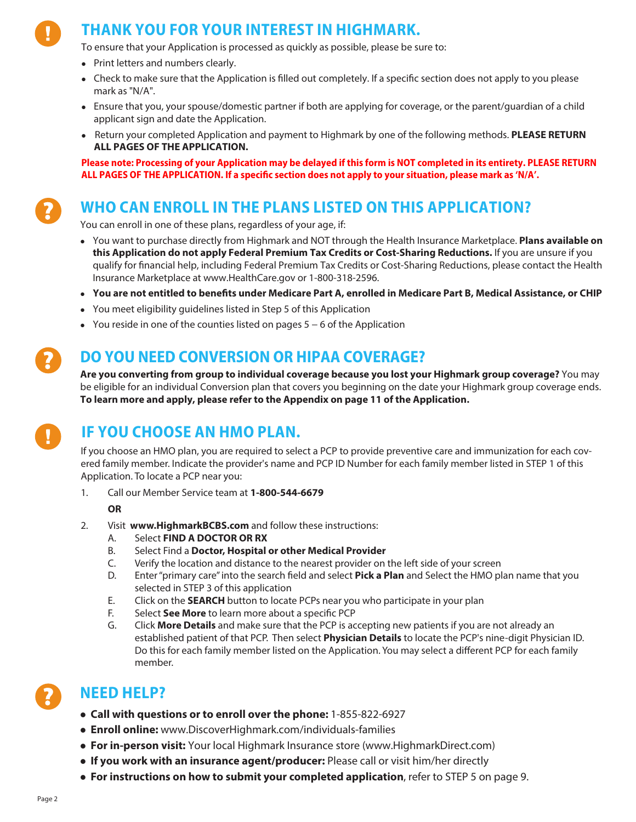## **THANK YOU FOR YOUR INTEREST IN HIGHMARK.**

To ensure that your Application is processed as quickly as possible, please be sure to:

- Print letters and numbers clearly.
- Check to make sure that the Application is filled out completely. If a specific section does not apply to you please mark as "N/A".
- <sup>l</sup> Ensure that you, your spouse/domestic partner if both are applying for coverage, or the parent/guardian of a child applicant sign and date the Application.
- **EXECTED APPLICE Application and payment to Highmark by one of the following methods. PLEASE RETURN ALL PAGES OF THE APPLICATION.**

**Please note: Processing of your Application may be delayed if this form is NOT completed in its entirety. PLEASE RETURN ALL PAGES OF THE APPLICATION. If a specific section does not apply to your situation, please mark as 'N/A'.**

### **WHO CAN ENROLL IN THE PLANS LISTED ON THIS APPLICATION?**

You can enroll in one of these plans, regardless of your age, if:

- <sup>l</sup> You want to purchase directly from Highmark and NOT through the Health Insurance Marketplace. **Plans available on this Application do not apply Federal Premium Tax Credits or Cost-Sharing Reductions.** If you are unsure if you qualify for financial help, including Federal Premium Tax Credits or Cost-Sharing Reductions, please contact the Health Insurance Marketplace at www.HealthCare.gov or 1-800-318-2596.
- <sup>l</sup> **You are not entitled to benefits under Medicare Part A, enrolled in Medicare Part B, Medical Assistance, or CHIP**
- You meet eligibility guidelines listed in Step 5 of this Application
- You reside in one of the counties listed on pages 5 6 of the Application

### **DO YOU NEED CONVERSION OR HIPAA COVERAGE?**

**Are you converting from group to individual coverage because you lost your Highmark group coverage?** You may be eligible for an individual Conversion plan that covers you beginning on the date your Highmark group coverage ends. **To learn more and apply, please refer to the Appendix on page 11 of the Application.**

## **IF YOU CHOOSE AN HMO PLAN.**

If you choose an HMO plan, you are required to select a PCP to provide preventive care and immunization for each covered family member. Indicate the provider's name and PCP ID Number for each family member listed in STEP 1 of this Application. To locate a PCP near you:

1. Call our Member Service team at **1-800-544-6679**

#### **OR**

- 2. Visit **www.HighmarkBCBS.com** and follow these instructions:
	- A. Select **FIND A DOCTOR OR RX**
	- B. Select Find a **Doctor, Hospital or other Medical Provider**
	- C. Verify the location and distance to the nearest provider on the left side of your screen
	- D. Enter "primary care" into the search field and select **Pick a Plan** and Select the HMO plan name that you selected in STEP 3 of this application
	- E. Click on the **SEARCH** button to locate PCPs near you who participate in your plan
	- F. Select **See More** to learn more about a specific PCP
	- G. Click **More Details** and make sure that the PCP is accepting new patients if you are not already an established patient of that PCP. Then select **Physician Details** to locate the PCP's nine-digit Physician ID. Do this for each family member listed on the Application. You may select a different PCP for each family member.

### **NEED HELP?**

- l **Call with questions or to enroll over the phone:** 1-855-822-6927
- l **Enroll online:** www.DiscoverHighmark.com/individuals-families
- l **For in-person visit:** Your local Highmark Insurance store (www.HighmarkDirect.com)
- l **If you work with an insurance agent/producer:** Please call or visit him/her directly
- l **For instructions on how to submit your completed application**, refer to STEP 5 on page 9.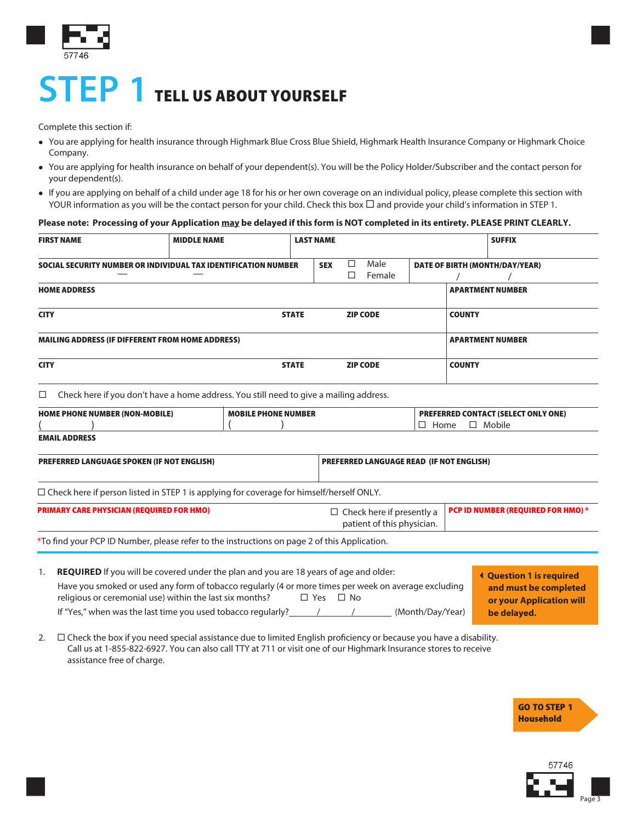

## **STEP 1** TELL US ABOUT YOURSELF

Complete this section if:

- You are applying for health insurance through Highmark Blue Cross Blue Shield, Highmark Health Insurance Company or Highmark Choice Company.
- <sup>l</sup> You are applying for health insurance on behalf of your dependent(s). You will be the Policy Holder/Subscriber and the contact person for your dependent(s).
- If you are applying on behalf of a child under age 18 for his or her own coverage on an individual policy, please complete this section with YOUR information as you will be the contact person for your child. Check this box  $\Box$  and provide your child's information in STEP 1.

#### **Please note: Processing of your Application may be delayed if this form is NOT completed in its entirety. PLEASE PRINT CLEARLY.**

| <b>FIRST NAME</b>                                                                                    | <b>MIDDLE NAME</b>                                                                                                                                                                                                                                                                                                                          | <b>LAST NAME</b>     |                                                                            |                |                  |                                | <b>SUFFIX</b>                                                                                       |  |
|------------------------------------------------------------------------------------------------------|---------------------------------------------------------------------------------------------------------------------------------------------------------------------------------------------------------------------------------------------------------------------------------------------------------------------------------------------|----------------------|----------------------------------------------------------------------------|----------------|------------------|--------------------------------|-----------------------------------------------------------------------------------------------------|--|
| SOCIAL SECURITY NUMBER OR INDIVIDUAL TAX IDENTIFICATION NUMBER                                       |                                                                                                                                                                                                                                                                                                                                             |                      | $\Box$<br><b>SEX</b><br>$\Box$                                             | Male<br>Female |                  | DATE OF BIRTH (MONTH/DAY/YEAR) |                                                                                                     |  |
| <b>HOME ADDRESS</b>                                                                                  |                                                                                                                                                                                                                                                                                                                                             |                      |                                                                            |                |                  | <b>APARTMENT NUMBER</b>        |                                                                                                     |  |
| <b>CITY</b><br><b>STATE</b>                                                                          |                                                                                                                                                                                                                                                                                                                                             |                      | <b>ZIP CODE</b>                                                            |                |                  | <b>COUNTY</b>                  |                                                                                                     |  |
| <b>MAILING ADDRESS (IF DIFFERENT FROM HOME ADDRESS)</b>                                              |                                                                                                                                                                                                                                                                                                                                             |                      |                                                                            |                |                  | <b>APARTMENT NUMBER</b>        |                                                                                                     |  |
| <b>CITY</b>                                                                                          |                                                                                                                                                                                                                                                                                                                                             | <b>STATE</b>         | <b>ZIP CODE</b>                                                            |                |                  | <b>COUNTY</b>                  |                                                                                                     |  |
| □                                                                                                    | Check here if you don't have a home address. You still need to give a mailing address.                                                                                                                                                                                                                                                      |                      |                                                                            |                |                  |                                |                                                                                                     |  |
| <b>HOME PHONE NUMBER (NON-MOBILE)</b><br><b>MOBILE PHONE NUMBER</b>                                  |                                                                                                                                                                                                                                                                                                                                             |                      | <b>PREFERRED CONTACT (SELECT ONLY ONE)</b><br>$\Box$ Home<br>$\Box$ Mobile |                |                  |                                |                                                                                                     |  |
| <b>EMAIL ADDRESS</b>                                                                                 |                                                                                                                                                                                                                                                                                                                                             |                      |                                                                            |                |                  |                                |                                                                                                     |  |
| <b>PREFERRED LANGUAGE SPOKEN (IF NOT ENGLISH)</b><br><b>PREFERRED LANGUAGE READ (IF NOT ENGLISH)</b> |                                                                                                                                                                                                                                                                                                                                             |                      |                                                                            |                |                  |                                |                                                                                                     |  |
| □ Check here if person listed in STEP 1 is applying for coverage for himself/herself ONLY.           |                                                                                                                                                                                                                                                                                                                                             |                      |                                                                            |                |                  |                                |                                                                                                     |  |
| <b>PRIMARY CARE PHYSICIAN (REQUIRED FOR HMO)</b>                                                     |                                                                                                                                                                                                                                                                                                                                             |                      | $\Box$ Check here if presently a<br>patient of this physician.             |                |                  |                                | PCP ID NUMBER (REQUIRED FOR HMO) *                                                                  |  |
| *To find your PCP ID Number, please refer to the instructions on page 2 of this Application.         |                                                                                                                                                                                                                                                                                                                                             |                      |                                                                            |                |                  |                                |                                                                                                     |  |
| 1.                                                                                                   | <b>REQUIRED</b> If you will be covered under the plan and you are 18 years of age and older:<br>Have you smoked or used any form of tobacco regularly (4 or more times per week on average excluding<br>religious or ceremonial use) within the last six months?<br>If "Yes," when was the last time you used tobacco regularly? $\sqrt{2}$ | $\Box$ Yes $\Box$ No |                                                                            |                | (Month/Day/Year) |                                | <b>4 Question 1 is required</b><br>and must be completed<br>or your Application will<br>be delayed. |  |

2.  $\Box$  Check the box if you need special assistance due to limited English proficiency or because you have a disability. Call us at 1-855-822-6927. You can also call TTY at 711 or visit one of our Highmark Insurance stores to receive assistance free of charge.



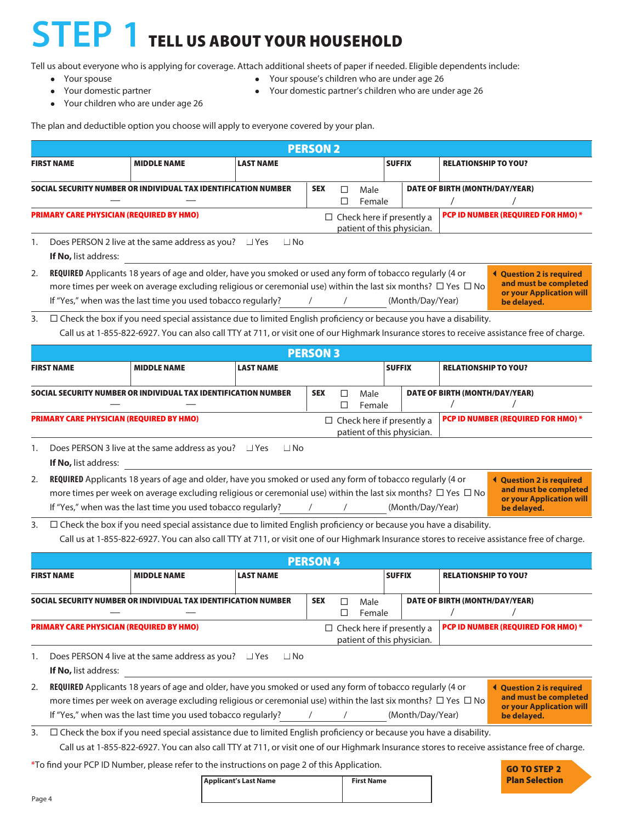# **STEP 1** TELL US ABOUT YOUR HOUSEHOLD

Tell us about everyone who is applying for coverage. Attach additional sheets of paper if needed. Eligible dependents include:

- 
- 
- Your children who are under age 26
- Your spouse local contracts are local versus versus versus versus versus versus versus versus versus versus versus versus versus versus versus versus versus versus versus versus versus versus versus versus versus versus
- Your domestic partner and Your domestic partner's children who are under age 26

The plan and deductible option you choose will apply to everyone covered by your plan.

| <b>PERSON 2</b>                                                                                                                                                                                                                                                                                                                                                                                                                     |                                                                                                                                                                                                                                                                                                                                                                                                                                               |                                                                                                                                                                                                                                                                          |                  |                                    |                                                                                                     |  |                                                                        |                             |  |
|-------------------------------------------------------------------------------------------------------------------------------------------------------------------------------------------------------------------------------------------------------------------------------------------------------------------------------------------------------------------------------------------------------------------------------------|-----------------------------------------------------------------------------------------------------------------------------------------------------------------------------------------------------------------------------------------------------------------------------------------------------------------------------------------------------------------------------------------------------------------------------------------------|--------------------------------------------------------------------------------------------------------------------------------------------------------------------------------------------------------------------------------------------------------------------------|------------------|------------------------------------|-----------------------------------------------------------------------------------------------------|--|------------------------------------------------------------------------|-----------------------------|--|
|                                                                                                                                                                                                                                                                                                                                                                                                                                     | <b>FIRST NAME</b>                                                                                                                                                                                                                                                                                                                                                                                                                             | <b>MIDDLE NAME</b>                                                                                                                                                                                                                                                       | <b>LAST NAME</b> |                                    |                                                                                                     |  | <b>SUFFIX</b>                                                          | <b>RELATIONSHIP TO YOU?</b> |  |
| SOCIAL SECURITY NUMBER OR INDIVIDUAL TAX IDENTIFICATION NUMBER<br><b>SEX</b><br>DATE OF BIRTH (MONTH/DAY/YEAR)<br>$\Box$<br>Male<br>□<br>Female                                                                                                                                                                                                                                                                                     |                                                                                                                                                                                                                                                                                                                                                                                                                                               |                                                                                                                                                                                                                                                                          |                  |                                    |                                                                                                     |  |                                                                        |                             |  |
|                                                                                                                                                                                                                                                                                                                                                                                                                                     | <b>PRIMARY CARE PHYSICIAN (REQUIRED BY HMO)</b>                                                                                                                                                                                                                                                                                                                                                                                               |                                                                                                                                                                                                                                                                          |                  |                                    |                                                                                                     |  | PCP ID NUMBER (REQUIRED FOR HMO) *<br>$\Box$ Check here if presently a |                             |  |
| 1.                                                                                                                                                                                                                                                                                                                                                                                                                                  | patient of this physician.<br>Does PERSON 2 live at the same address as you? $\Box$ Yes<br>$\Box$ No<br>If No, list address:                                                                                                                                                                                                                                                                                                                  |                                                                                                                                                                                                                                                                          |                  |                                    |                                                                                                     |  |                                                                        |                             |  |
| REQUIRED Applicants 18 years of age and older, have you smoked or used any form of tobacco regularly (4 or<br>2.<br>more times per week on average excluding religious or ceremonial use) within the last six months? $\Box$ Yes $\Box$ No<br>If "Yes," when was the last time you used tobacco regularly?<br>(Month/Day/Year)<br>$\sqrt{2}$                                                                                        |                                                                                                                                                                                                                                                                                                                                                                                                                                               |                                                                                                                                                                                                                                                                          |                  |                                    | <b>↓ Question 2 is required</b><br>and must be completed<br>or your Application will<br>be delayed. |  |                                                                        |                             |  |
| 3.                                                                                                                                                                                                                                                                                                                                                                                                                                  |                                                                                                                                                                                                                                                                                                                                                                                                                                               | $\Box$ Check the box if you need special assistance due to limited English proficiency or because you have a disability.<br>Call us at 1-855-822-6927. You can also call TTY at 711, or visit one of our Highmark Insurance stores to receive assistance free of charge. |                  |                                    |                                                                                                     |  |                                                                        |                             |  |
|                                                                                                                                                                                                                                                                                                                                                                                                                                     |                                                                                                                                                                                                                                                                                                                                                                                                                                               |                                                                                                                                                                                                                                                                          |                  | <b>PERSON 3</b>                    |                                                                                                     |  |                                                                        |                             |  |
|                                                                                                                                                                                                                                                                                                                                                                                                                                     | <b>FIRST NAME</b>                                                                                                                                                                                                                                                                                                                                                                                                                             | <b>MIDDLE NAME</b>                                                                                                                                                                                                                                                       | <b>LAST NAME</b> |                                    |                                                                                                     |  | <b>SUFFIX</b>                                                          | <b>RELATIONSHIP TO YOU?</b> |  |
| SOCIAL SECURITY NUMBER OR INDIVIDUAL TAX IDENTIFICATION NUMBER<br><b>SEX</b><br>DATE OF BIRTH (MONTH/DAY/YEAR)<br>□<br>Male<br>□<br>Female                                                                                                                                                                                                                                                                                          |                                                                                                                                                                                                                                                                                                                                                                                                                                               |                                                                                                                                                                                                                                                                          |                  |                                    |                                                                                                     |  |                                                                        |                             |  |
| <b>PRIMARY CARE PHYSICIAN (REQUIRED BY HMO)</b><br>PCP ID NUMBER (REQUIRED FOR HMO) *<br>$\Box$ Check here if presently a<br>patient of this physician.                                                                                                                                                                                                                                                                             |                                                                                                                                                                                                                                                                                                                                                                                                                                               |                                                                                                                                                                                                                                                                          |                  |                                    |                                                                                                     |  |                                                                        |                             |  |
| 1.                                                                                                                                                                                                                                                                                                                                                                                                                                  | Does PERSON 3 live at the same address as you? $\Box$ Yes<br>$\Box$ No<br>If No, list address:                                                                                                                                                                                                                                                                                                                                                |                                                                                                                                                                                                                                                                          |                  |                                    |                                                                                                     |  |                                                                        |                             |  |
| 2.                                                                                                                                                                                                                                                                                                                                                                                                                                  | REQUIRED Applicants 18 years of age and older, have you smoked or used any form of tobacco regularly (4 or<br><b>↓ Question 2 is required</b><br>and must be completed<br>more times per week on average excluding religious or ceremonial use) within the last six months? $\Box$ Yes $\Box$ No<br>or your Application will<br>If "Yes," when was the last time you used tobacco regularly?<br>(Month/Day/Year)<br>$\sqrt{2}$<br>be delayed. |                                                                                                                                                                                                                                                                          |                  |                                    |                                                                                                     |  |                                                                        |                             |  |
| $\Box$ Check the box if you need special assistance due to limited English proficiency or because you have a disability.<br>3.<br>Call us at 1-855-822-6927. You can also call TTY at 711, or visit one of our Highmark Insurance stores to receive assistance free of charge.                                                                                                                                                      |                                                                                                                                                                                                                                                                                                                                                                                                                                               |                                                                                                                                                                                                                                                                          |                  |                                    |                                                                                                     |  |                                                                        |                             |  |
|                                                                                                                                                                                                                                                                                                                                                                                                                                     |                                                                                                                                                                                                                                                                                                                                                                                                                                               |                                                                                                                                                                                                                                                                          |                  | <b>PERSON 4</b>                    |                                                                                                     |  |                                                                        |                             |  |
|                                                                                                                                                                                                                                                                                                                                                                                                                                     | <b>FIRST NAME</b>                                                                                                                                                                                                                                                                                                                                                                                                                             | <b>MIDDLE NAME</b>                                                                                                                                                                                                                                                       | <b>LAST NAME</b> |                                    |                                                                                                     |  | <b>SUFFIX</b>                                                          | <b>RELATIONSHIP TO YOU?</b> |  |
| OCIAL SECURITY NUMBER OR INDIVIDUAL TAX IDENTIFICATION NUMBER                                                                                                                                                                                                                                                                                                                                                                       |                                                                                                                                                                                                                                                                                                                                                                                                                                               |                                                                                                                                                                                                                                                                          | <b>SEX</b>       | $\Box$                             | Male<br>Female                                                                                      |  | DATE OF BIRTH (MONTH/DAY/YEAR)                                         |                             |  |
| <b>PRIMARY CARE PHYSICIAN (REQUIRED BY HMO)</b><br>$\Box$ Check here if presently a<br>patient of this physician.                                                                                                                                                                                                                                                                                                                   |                                                                                                                                                                                                                                                                                                                                                                                                                                               |                                                                                                                                                                                                                                                                          |                  | PCP ID NUMBER (REQUIRED FOR HMO) * |                                                                                                     |  |                                                                        |                             |  |
| Does PERSON 4 live at the same address as you?<br>$\Box$ Yes<br>$\Box$ No<br>1.<br>If No, list address:                                                                                                                                                                                                                                                                                                                             |                                                                                                                                                                                                                                                                                                                                                                                                                                               |                                                                                                                                                                                                                                                                          |                  |                                    |                                                                                                     |  |                                                                        |                             |  |
| REQUIRED Applicants 18 years of age and older, have you smoked or used any form of tobacco regularly (4 or<br>2.<br><b>Question 2 is required</b><br>and must be completed<br>more times per week on average excluding religious or ceremonial use) within the last six months? $\Box$ Yes $\Box$ No<br>or your Application will<br>If "Yes," when was the last time you used tobacco regularly?<br>(Month/Day/Year)<br>be delayed. |                                                                                                                                                                                                                                                                                                                                                                                                                                               |                                                                                                                                                                                                                                                                          |                  |                                    |                                                                                                     |  |                                                                        |                             |  |
| 3.                                                                                                                                                                                                                                                                                                                                                                                                                                  |                                                                                                                                                                                                                                                                                                                                                                                                                                               | $\Box$ Check the box if you need special assistance due to limited English proficiency or because you have a disability.<br>Call us at 1-855-822-6927. You can also call TTY at 711, or visit one of our Highmark Insurance stores to receive assistance free of charge. |                  |                                    |                                                                                                     |  |                                                                        |                             |  |

\*To find your PCP ID Number, please refer to the instructions on page 2 of this Application.

**Applicant's Last Name First Name** 

| <b>GO TO STEP 2</b>   |
|-----------------------|
| <b>Plan Selection</b> |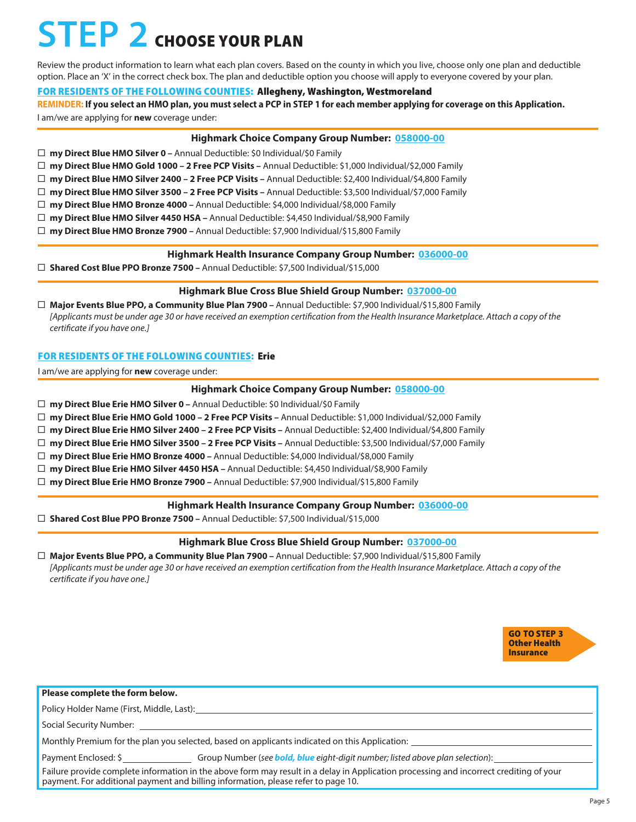## **STEP 2** CHOOSE YOUR PLAN

Review the product information to learn what each plan covers. Based on the county in which you live, choose only one plan and deductible option. Place an 'X' in the correct check box. The plan and deductible option you choose will apply to everyone covered by your plan.

### FOR RESIDENTS OF THE FOLLOWING COUNTIES: Allegheny, Washington, Westmoreland

**REMINDER: If you select an HMO plan, you must select a PCP in STEP 1 for each member applying for coverage on this Application.**

I am/we are applying for **new** coverage under:

#### **Highmark Choice Company Group Number: 058000-00**

- **my Direct Blue HMO Silver 0** Annual Deductible: \$0 Individual/\$0 Family
- **my Direct Blue HMO Gold 1000 2 Free PCP Visits –** Annual Deductible: \$1,000 Individual/\$2,000 Family
- **my Direct Blue HMO Silver 2400 2 Free PCP Visits –** Annual Deductible: \$2,400 Individual/\$4,800 Family
- **my Direct Blue HMO Silver 3500 2 Free PCP Visits –** Annual Deductible: \$3,500 Individual/\$7,000 Family
- **my Direct Blue HMO Bronze 4000** Annual Deductible: \$4,000 Individual/\$8,000 Family
- **my Direct Blue HMO Silver 4450 HSA** Annual Deductible: \$4,450 Individual/\$8,900 Family
- **my Direct Blue HMO Bronze 7900** Annual Deductible: \$7,900 Individual/\$15,800 Family

#### **Highmark Health Insurance Company Group Number: 036000-00**

**Shared Cost Blue PPO Bronze 7500 –** Annual Deductible: \$7,500 Individual/\$15,000

### **Highmark Blue Cross Blue Shield Group Number: 037000-00**

 **Major Events Blue PPO, a Community Blue Plan 7900 –** Annual Deductible: \$7,900 Individual/\$15,800 Family *[Applicants must be under age 30 or have received an exemption certification from the Health Insurance Marketplace. Attach a copy of the certificate if you have one.]*

### FOR RESIDENTS OF THE FOLLOWING COUNTIES: Erie

I am/we are applying for **new** coverage under:

#### **Highmark Choice Company Group Number: 058000-00**

**my Direct Blue Erie HMO Silver 0 –** Annual Deductible: \$0 Individual/\$0 Family

**my Direct Blue Erie HMO Gold 1000 – 2 Free PCP Visits –** Annual Deductible: \$1,000 Individual/\$2,000 Family

- **my Direct Blue Erie HMO Silver 2400 2 Free PCP Visits –** Annual Deductible: \$2,400 Individual/\$4,800 Family
- **my Direct Blue Erie HMO Silver 3500 2 Free PCP Visits –** Annual Deductible: \$3,500 Individual/\$7,000 Family
- **my Direct Blue Erie HMO Bronze 4000** Annual Deductible: \$4,000 Individual/\$8,000 Family
- **my Direct Blue Erie HMO Silver 4450 HSA** Annual Deductible: \$4,450 Individual/\$8,900 Family
- **my Direct Blue Erie HMO Bronze 7900** Annual Deductible: \$7,900 Individual/\$15,800 Family

#### **Highmark Health Insurance Company Group Number: 036000-00**

**Shared Cost Blue PPO Bronze 7500 –** Annual Deductible: \$7,500 Individual/\$15,000

#### **Highmark Blue Cross Blue Shield Group Number: 037000-00**

 **Major Events Blue PPO, a Community Blue Plan 7900 –** Annual Deductible: \$7,900 Individual/\$15,800 Family *[Applicants must be under age 30 or have received an exemption certification from the Health Insurance Marketplace. Attach a copy of the certificate if you have one.]*



| Please complete the form below.                                                                                                                                                                                             |
|-----------------------------------------------------------------------------------------------------------------------------------------------------------------------------------------------------------------------------|
| Policy Holder Name (First, Middle, Last):                                                                                                                                                                                   |
| Social Security Number:                                                                                                                                                                                                     |
| Monthly Premium for the plan you selected, based on applicants indicated on this Application:                                                                                                                               |
| Group Number (see <b>bold, blue</b> eight-digit number; listed above plan selection):<br>Payment Enclosed: \$                                                                                                               |
| Failure provide complete information in the above form may result in a delay in Application processing and incorrect crediting of your<br>payment. For additional payment and billing information, please refer to page 10. |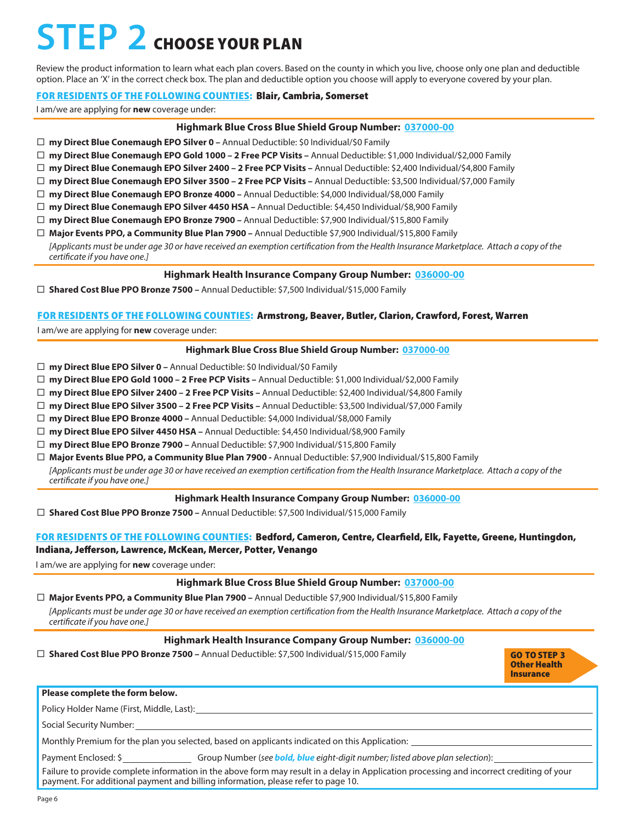## **STEP 2** CHOOSE YOUR PLAN

Review the product information to learn what each plan covers. Based on the county in which you live, choose only one plan and deductible option. Place an 'X' in the correct check box. The plan and deductible option you choose will apply to everyone covered by your plan.

#### FOR RESIDENTS OF THE FOLLOWING COUNTIES: Blair, Cambria, Somerset

I am/we are applying for **new** coverage under:

#### **Highmark Blue Cross Blue Shield Group Number: 037000-00**

**my Direct Blue Conemaugh EPO Silver 0 –** Annual Deductible: \$0 Individual/\$0 Family

**my Direct Blue Conemaugh EPO Gold 1000 – 2 Free PCP Visits –** Annual Deductible: \$1,000 Individual/\$2,000 Family

**my Direct Blue Conemaugh EPO Silver 2400 – 2 Free PCP Visits –** Annual Deductible: \$2,400 Individual/\$4,800 Family

**my Direct Blue Conemaugh EPO Silver 3500 – 2 Free PCP Visits –** Annual Deductible: \$3,500 Individual/\$7,000 Family

**my Direct Blue Conemaugh EPO Bronze 4000 –** Annual Deductible: \$4,000 Individual/\$8,000 Family

**my Direct Blue Conemaugh EPO Silver 4450 HSA –** Annual Deductible: \$4,450 Individual/\$8,900 Family

**my Direct Blue Conemaugh EPO Bronze 7900 –** Annual Deductible: \$7,900 Individual/\$15,800 Family

**Major Events PPO, a Community Blue Plan 7900 –** Annual Deductible \$7,900 Individual/\$15,800 Family

*[Applicants must be under age 30 or have received an exemption certification from the Health Insurance Marketplace. Attach a copy of the certificate if you have one.]*

#### **Highmark Health Insurance Company Group Number: 036000-00**

**Shared Cost Blue PPO Bronze 7500 –** Annual Deductible: \$7,500 Individual/\$15,000 Family

#### FOR RESIDENTS OF THE FOLLOWING COUNTIES: Armstrong, Beaver, Butler, Clarion, Crawford, Forest, Warren

I am/we are applying for **new** coverage under:

#### **Highmark Blue Cross Blue Shield Group Number: 037000-00**

**my Direct Blue EPO Silver 0 –** Annual Deductible: \$0 Individual/\$0 Family

**my Direct Blue EPO Gold 1000 – 2 Free PCP Visits –** Annual Deductible: \$1,000 Individual/\$2,000 Family

**my Direct Blue EPO Silver 2400 – 2 Free PCP Visits –** Annual Deductible: \$2,400 Individual/\$4,800 Family

**my Direct Blue EPO Silver 3500 – 2 Free PCP Visits –** Annual Deductible: \$3,500 Individual/\$7,000 Family

**my Direct Blue EPO Bronze 4000 –** Annual Deductible: \$4,000 Individual/\$8,000 Family

**my Direct Blue EPO Silver 4450 HSA –** Annual Deductible: \$4,450 Individual/\$8,900 Family

**my Direct Blue EPO Bronze 7900 –** Annual Deductible: \$7,900 Individual/\$15,800 Family

**Major Events Blue PPO, a Community Blue Plan 7900 -** Annual Deductible: \$7,900 Individual/\$15,800 Family

*[Applicants must be under age 30 or have received an exemption certification from the Health Insurance Marketplace. Attach a copy of the certificate if you have one.]*

#### **Highmark Health Insurance Company Group Number: 036000-00**

**Shared Cost Blue PPO Bronze 7500 –** Annual Deductible: \$7,500 Individual/\$15,000 Family

#### FOR RESIDENTS OF THE FOLLOWING COUNTIES: Bedford, Cameron, Centre, Clearfield, Elk, Fayette, Greene, Huntingdon, Indiana, Jefferson, Lawrence, McKean, Mercer, Potter, Venango

I am/we are applying for **new** coverage under:

#### **Highmark Blue Cross Blue Shield Group Number: 037000-00**

 **Major Events PPO, a Community Blue Plan 7900 –** Annual Deductible \$7,900 Individual/\$15,800 Family *[Applicants must be under age 30 or have received an exemption certification from the Health Insurance Marketplace. Attach a copy of the certificate if you have one.]*

#### **Highmark Health Insurance Company Group Number: 036000-00**

**Shared Cost Blue PPO Bronze 7500 –** Annual Deductible: \$7,500 Individual/\$15,000 Family

GO TO STEP 3 Other Health **Insurance** 

#### **Please complete the form below.**

Policy Holder Name (First, Middle, Last):

Social Security Number:

Monthly Premium for the plan you selected, based on applicants indicated on this Application:

Payment Enclosed: \$ Group Number (see **bold, blue** eight-digit number; listed above plan selection):

Failure to provide complete information in the above form may result in a delay in Application processing and incorrect crediting of your payment. For additional payment and billing information, please refer to page 10.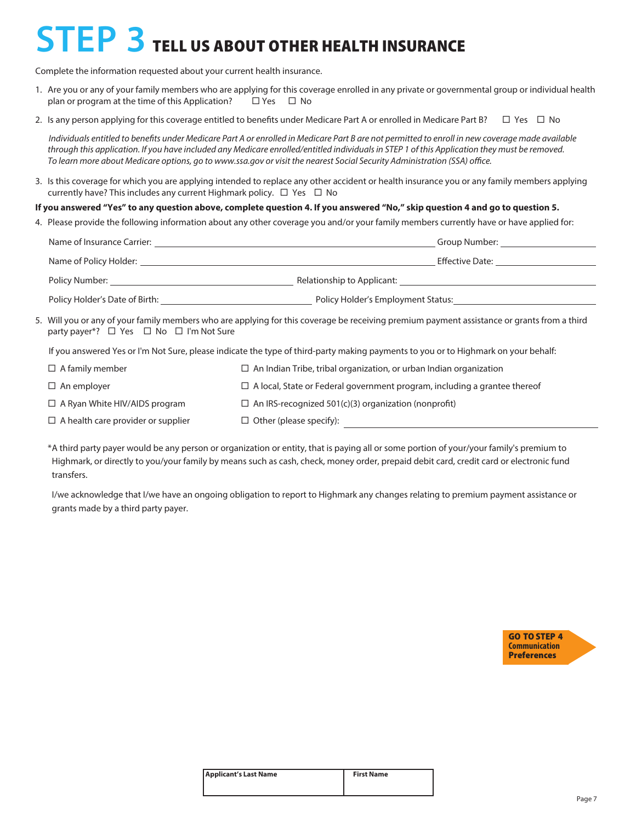## **STEP 3** TELL US ABOUT OTHER HEALTH INSURANCE

Complete the information requested about your current health insurance.

- 1. Are you or any of your family members who are applying for this coverage enrolled in any private or governmental group or individual health plan or program at the time of this Application?  $\Box$  Yes  $\Box$  No
- 2. Is any person applying for this coverage entitled to benefits under Medicare Part A or enrolled in Medicare Part B?  $\Box$  Yes  $\Box$  No

*Individuals entitled to benefits under Medicare Part A or enrolled in Medicare Part B are not permitted to enroll in new coverage made available through this application. If you have included any Medicare enrolled/entitled individuals in STEP 1 of this Application they must be removed. To learn more about Medicare options, go to www.ssa.gov or visit the nearest Social Security Administration (SSA) office.*

3. Is this coverage for which you are applying intended to replace any other accident or health insurance you or any family members applying currently have? This includes any current Highmark policy.  $\Box$  Yes  $\Box$  No

#### **If you answered "Yes" to any question above, complete question 4. If you answered "No," skip question 4 and go to question 5.**

4. Please provide the following information about any other coverage you and/or your family members currently have or have applied for:

| Name of Insurance Carrier:     | Group Number:                      |
|--------------------------------|------------------------------------|
| Name of Policy Holder:         | Effective Date:                    |
| Policy Number:                 | Relationship to Applicant:         |
| Policy Holder's Date of Birth: | Policy Holder's Employment Status: |

5. Will you or any of your family members who are applying for this coverage be receiving premium payment assistance or grants from a third party payer\*?  $\Box$  Yes  $\Box$  No  $\Box$  I'm Not Sure

If you answered Yes or I'm Not Sure, please indicate the type of third-party making payments to you or to Highmark on your behalf:

| $\Box$ A family member                    | $\Box$ An Indian Tribe, tribal organization, or urban Indian organization        |
|-------------------------------------------|----------------------------------------------------------------------------------|
| $\Box$ An employer                        | $\Box$ A local, State or Federal government program, including a grantee thereof |
| $\Box$ A Ryan White HIV/AIDS program      | $\Box$ An IRS-recognized 501(c)(3) organization (nonprofit)                      |
| $\Box$ A health care provider or supplier | $\Box$ Other (please specify):                                                   |

\*A third party payer would be any person or organization or entity, that is paying all or some portion of your/your family's premium to Highmark, or directly to you/your family by means such as cash, check, money order, prepaid debit card, credit card or electronic fund transfers.

 I/we acknowledge that I/we have an ongoing obligation to report to Highmark any changes relating to premium payment assistance or grants made by a third party payer.



| <b>Applicant's Last Name</b> | <b>First Name</b> |
|------------------------------|-------------------|
|                              |                   |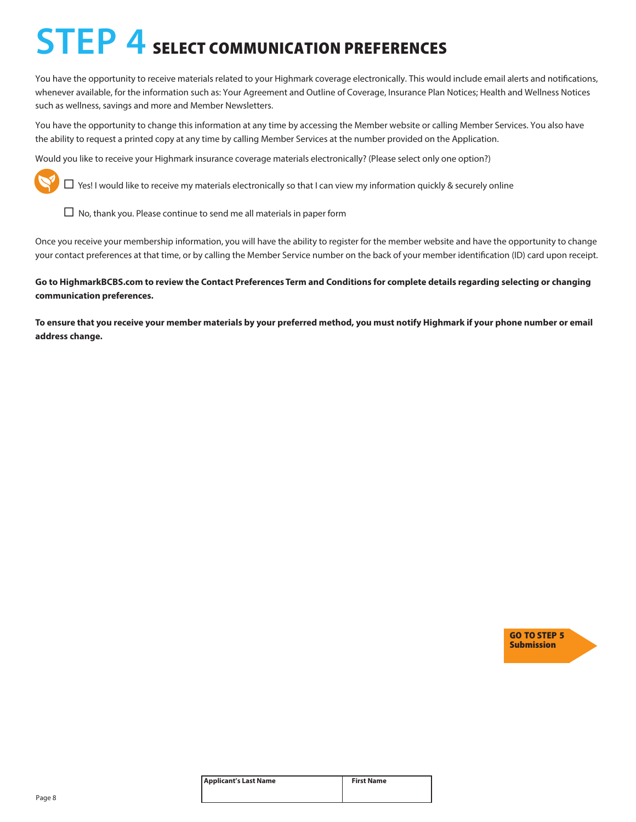## **STEP 4** SELECT COMMUNICATION PREFERENCES

You have the opportunity to receive materials related to your Highmark coverage electronically. This would include email alerts and notifications, whenever available, for the information such as: Your Agreement and Outline of Coverage, Insurance Plan Notices; Health and Wellness Notices such as wellness, savings and more and Member Newsletters.

You have the opportunity to change this information at any time by accessing the Member website or calling Member Services. You also have the ability to request a printed copy at any time by calling Member Services at the number provided on the Application.

Would you like to receive your Highmark insurance coverage materials electronically? (Please select only one option?)



 $\Box$  Yes! I would like to receive my materials electronically so that I can view my information quickly & securely online

 $\Box$  No, thank you. Please continue to send me all materials in paper form

Once you receive your membership information, you will have the ability to register for the member website and have the opportunity to change your contact preferences at that time, or by calling the Member Service number on the back of your member identification (ID) card upon receipt.

**Go to HighmarkBCBS.com to review the Contact Preferences Term and Conditions for complete details regarding selecting or changing communication preferences.**

**To ensure that you receive your member materials by your preferred method, you must notify Highmark if your phone number or email address change.**



| <b>Applicant's Last Name</b> | <b>First Name</b> |
|------------------------------|-------------------|
|                              |                   |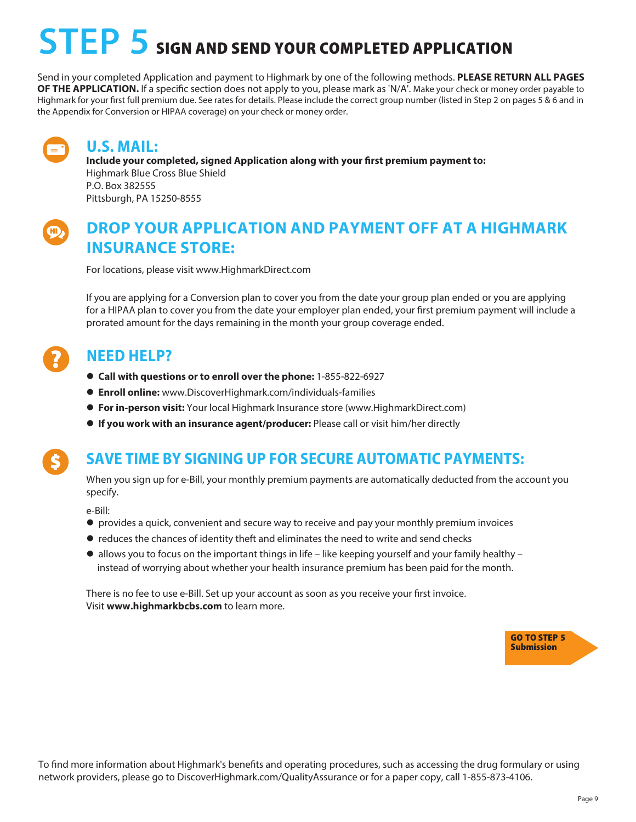## STEP 5 SIGN AND SEND YOUR COMPLETED APPLICATION

Send in your completed Application and payment to Highmark by one of the following methods. **PLEASE RETURN ALL PAGES OF THE APPLICATION.** If a specific section does not apply to you, please mark as 'N/A'. Make your check or money order payable to Highmark for your first full premium due. See rates for details. Please include the correct group number (listed in Step 2 on pages 5 & 6 and in the Appendix for Conversion or HIPAA coverage) on your check or money order.



### **U.S. MAIL:**

**Include your completed, signed Application along with your first premium payment to:** Highmark Blue Cross Blue Shield P.O. Box 382555 Pittsburgh, PA 15250-8555



## **DROP YOUR APPLICATION AND PAYMENT OFF AT A HIGHMARK INSURANCE STORE:**

For locations, please visit www.HighmarkDirect.com

If you are applying for a Conversion plan to cover you from the date your group plan ended or you are applying for a HIPAA plan to cover you from the date your employer plan ended, your first premium payment will include a prorated amount for the days remaining in the month your group coverage ended.

### **NEED HELP?**

- l **Call with questions or to enroll over the phone:** 1-855-822-6927
- l **Enroll online:** www.DiscoverHighmark.com/individuals-families
- l **For in-person visit:** Your local Highmark Insurance store (www.HighmarkDirect.com)
- l **If you work with an insurance agent/producer:** Please call or visit him/her directly

## **SAVE TIME BY SIGNING UP FOR SECURE AUTOMATIC PAYMENTS:**

When you sign up for e-Bill, your monthly premium payments are automatically deducted from the account you specify.

e-Bill:

- l provides a quick, convenient and secure way to receive and pay your monthly premium invoices
- reduces the chances of identity theft and eliminates the need to write and send checks
- $\bullet$  allows you to focus on the important things in life like keeping yourself and your family healthy instead of worrying about whether your health insurance premium has been paid for the month.

There is no fee to use e-Bill. Set up your account as soon as you receive your first invoice. Visit **www.highmarkbcbs.com** to learn more.



To find more information about Highmark's benefits and operating procedures, such as accessing the drug formulary or using network providers, please go to DiscoverHighmark.com/QualityAssurance or for a paper copy, call 1-855-873-4106.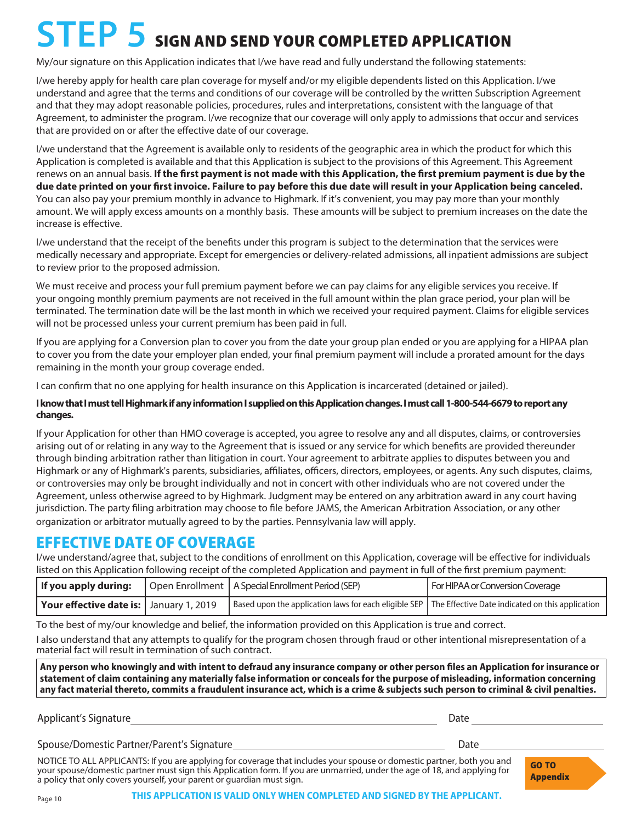## **STEP 5** SIGN AND SEND YOUR COMPLETED APPLICATION

My/our signature on this Application indicates that I/we have read and fully understand the following statements:

I/we hereby apply for health care plan coverage for myself and/or my eligible dependents listed on this Application. I/we understand and agree that the terms and conditions of our coverage will be controlled by the written Subscription Agreement and that they may adopt reasonable policies, procedures, rules and interpretations, consistent with the language of that Agreement, to administer the program. I/we recognize that our coverage will only apply to admissions that occur and services that are provided on or after the effective date of our coverage.

I/we understand that the Agreement is available only to residents of the geographic area in which the product for which this Application is completed is available and that this Application is subject to the provisions of this Agreement. This Agreement renews on an annual basis. **If the first payment is not made with this Application, the first premium payment is due by the due date printed on your first invoice. Failure to pay before this due date will result in your Application being canceled.** You can also pay your premium monthly in advance to Highmark. If it's convenient, you may pay more than your monthly amount. We will apply excess amounts on a monthly basis. These amounts will be subject to premium increases on the date the increase is effective.

I/we understand that the receipt of the benefits under this program is subject to the determination that the services were medically necessary and appropriate. Except for emergencies or delivery-related admissions, all inpatient admissions are subject to review prior to the proposed admission.

We must receive and process your full premium payment before we can pay claims for any eligible services you receive. If your ongoing monthly premium payments are not received in the full amount within the plan grace period, your plan will be terminated. The termination date will be the last month in which we received your required payment. Claims for eligible services will not be processed unless your current premium has been paid in full.

If you are applying for a Conversion plan to cover you from the date your group plan ended or you are applying for a HIPAA plan to cover you from the date your employer plan ended, your final premium payment will include a prorated amount for the days remaining in the month your group coverage ended.

I can confirm that no one applying for health insurance on this Application is incarcerated (detained or jailed).

#### **I know that I must tell Highmark if any information I supplied on this Application changes. I must call 1-800-544-6679 to report any changes.**

If your Application for other than HMO coverage is accepted, you agree to resolve any and all disputes, claims, or controversies arising out of or relating in any way to the Agreement that is issued or any service for which benefits are provided thereunder through binding arbitration rather than litigation in court. Your agreement to arbitrate applies to disputes between you and Highmark or any of Highmark's parents, subsidiaries, affiliates, officers, directors, employees, or agents. Any such disputes, claims, or controversies may only be brought individually and not in concert with other individuals who are not covered under the Agreement, unless otherwise agreed to by Highmark. Judgment may be entered on any arbitration award in any court having jurisdiction. The party filing arbitration may choose to file before JAMS, the American Arbitration Association, or any other organization or arbitrator mutually agreed to by the parties. Pennsylvania law will apply.

### EFFECTIVE DATE OF COVERAGE

I/we understand/agree that, subject to the conditions of enrollment on this Application, coverage will be effective for individuals listed on this Application following receipt of the completed Application and payment in full of the first premium payment:

|                                           | <b>If you apply during:</b>   Open Enrollment   A Special Enrollment Period (SEP)                      | For HIPAA or Conversion Coverage |
|-------------------------------------------|--------------------------------------------------------------------------------------------------------|----------------------------------|
| Your effective date is:   January 1, 2019 | Based upon the application laws for each eligible SEP The Effective Date indicated on this application |                                  |

To the best of my/our knowledge and belief, the information provided on this Application is true and correct.

I also understand that any attempts to qualify for the program chosen through fraud or other intentional misrepresentation of a material fact will result in termination of such contract.

**Any person who knowingly and with intent to defraud any insurance company or other person files an Application for insurance or statement of claim containing any materially false information or conceals for the purpose of misleading, information concerning any fact material thereto, commits a fraudulent insurance act, which is a crime & subjects such person to criminal & civil penalties.**

Applicant's Signature **Date of Applicant's Signature** Date of Applicant's Signature Date of Applicant Control of A

Spouse/Domestic Partner/Parent's Signature development of the Date Date Date

NOTICE TO ALL APPLICANTS: If you are applying for coverage that includes your spouse or domestic partner, both you and your spouse/domestic partner must sign this Application form. If you are unmarried, under the age of 18, and applying for a policy that only covers yourself, your parent or guardian must sign.

GO TO Appendix

**THIS APPLICATION IS VALID ONLY WHEN COMPLETED AND SIGNED BY THE APPLICANT.**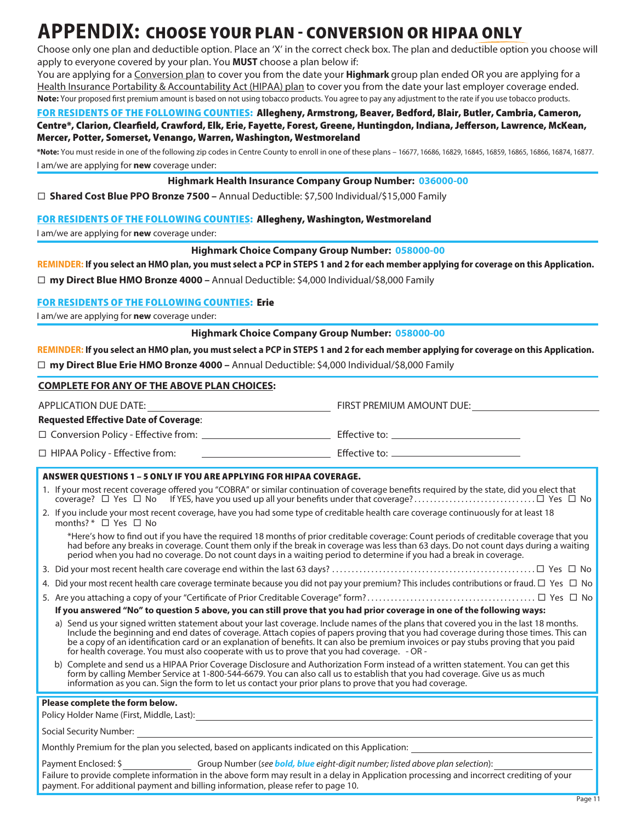## **APPENDIX:** CHOOSE YOUR PLAN - CONVERSION OR HIPAA ONLY

Choose only one plan and deductible option. Place an 'X' in the correct check box. The plan and deductible option you choose will apply to everyone covered by your plan. You **MUST** choose a plan below if:

You are applying for a Conversion plan to cover you from the date your **Highmark** group plan ended OR you are applying for a Health Insurance Portability & Accountability Act (HIPAA) plan to cover you from the date your last employer coverage ended. **Note:** Your proposed first premium amount is based on not using tobacco products. You agree to pay any adjustment to the rate if you use tobacco products.

#### FOR RESIDENTS OF THE FOLLOWING COUNTIES: Allegheny, Armstrong, Beaver, Bedford, Blair, Butler, Cambria, Cameron, Centre\*, Clarion, Clearfield, Crawford, Elk, Erie, Fayette, Forest, Greene, Huntingdon, Indiana, Jefferson, Lawrence, McKean, Mercer, Potter, Somerset, Venango, Warren, Washington, Westmoreland

**\*Note:** You must reside in one of the following zip codes in Centre County to enroll in one of these plans – 16677, 16686, 16829, 16845, 16859, 16865, 16866, 16874, 16877. I am/we are applying for **new** coverage under:

#### **Highmark Health Insurance Company Group Number: 036000-00**

**Shared Cost Blue PPO Bronze 7500 –** Annual Deductible: \$7,500 Individual/\$15,000 Family

#### FOR RESIDENTS OF THE FOLLOWING COUNTIES: Allegheny, Washington, Westmoreland

I am/we are applying for **new** coverage under:

#### **Highmark Choice Company Group Number: 058000-00**

**REMINDER: If you select an HMO plan, you must select a PCP in STEPS 1 and 2 for each member applying for coverage on this Application.**

**my Direct Blue HMO Bronze 4000 –** Annual Deductible: \$4,000 Individual/\$8,000 Family

payment. For additional payment and billing information, please refer to page 10.

### FOR RESIDENTS OF THE FOLLOWING COUNTIES: Erie

I am/we are applying for **new** coverage under:

**Highmark Choice Company Group Number: 058000-00**

**REMINDER: If you select an HMO plan, you must select a PCP in STEPS 1 and 2 for each member applying for coverage on this Application. my Direct Blue Erie HMO Bronze 4000 –** Annual Deductible: \$4,000 Individual/\$8,000 Family

| <b>COMPLETE FOR ANY OF THE ABOVE PLAN CHOICES:</b>                                                                                                                                                                                                                                                                                                                                                                                                                                                                   |                           |  |  |  |
|----------------------------------------------------------------------------------------------------------------------------------------------------------------------------------------------------------------------------------------------------------------------------------------------------------------------------------------------------------------------------------------------------------------------------------------------------------------------------------------------------------------------|---------------------------|--|--|--|
|                                                                                                                                                                                                                                                                                                                                                                                                                                                                                                                      | FIRST PREMIUM AMOUNT DUE: |  |  |  |
| <b>Requested Effective Date of Coverage:</b>                                                                                                                                                                                                                                                                                                                                                                                                                                                                         |                           |  |  |  |
|                                                                                                                                                                                                                                                                                                                                                                                                                                                                                                                      |                           |  |  |  |
| $\Box$ HIPAA Policy - Effective from:                                                                                                                                                                                                                                                                                                                                                                                                                                                                                |                           |  |  |  |
| <b>ANSWER QUESTIONS 1 - 5 ONLY IF YOU ARE APPLYING FOR HIPAA COVERAGE.</b>                                                                                                                                                                                                                                                                                                                                                                                                                                           |                           |  |  |  |
| 1. If your most recent coverage offered you "COBRA" or similar continuation of coverage benefits required by the state, did you elect that                                                                                                                                                                                                                                                                                                                                                                           |                           |  |  |  |
| 2. If you include your most recent coverage, have you had some type of creditable health care coverage continuously for at least 18<br>months? * $\Box$ Yes $\Box$ No                                                                                                                                                                                                                                                                                                                                                |                           |  |  |  |
| *Here's how to find out if you have the required 18 months of prior creditable coverage: Count periods of creditable coverage that you<br>had before any breaks in coverage. Count them only if the break in coverage was less than 63 days. Do not count days during a waiting<br>period when you had no coverage. Do not count days in a waiting period to determine if you had a break in coverage.                                                                                                               |                           |  |  |  |
|                                                                                                                                                                                                                                                                                                                                                                                                                                                                                                                      |                           |  |  |  |
| 4. Did your most recent health care coverage terminate because you did not pay your premium? This includes contributions or fraud. $\Box$ Yes $\Box$ No                                                                                                                                                                                                                                                                                                                                                              |                           |  |  |  |
|                                                                                                                                                                                                                                                                                                                                                                                                                                                                                                                      |                           |  |  |  |
| If you answered "No" to question 5 above, you can still prove that you had prior coverage in one of the following ways:                                                                                                                                                                                                                                                                                                                                                                                              |                           |  |  |  |
| a) Send us your signed written statement about your last coverage. Include names of the plans that covered you in the last 18 months.<br>Include the beginning and end dates of coverage. Attach copies of papers proving that you had coverage during those times. This can<br>be a copy of an identification card or an explanation of benefits. It can also be premium invoices or pay stubs proving that you paid<br>for health coverage. You must also cooperate with us to prove that you had coverage. - OR - |                           |  |  |  |
| b) Complete and send us a HIPAA Prior Coverage Disclosure and Authorization Form instead of a written statement. You can get this<br>form by calling Member Service at 1-800-544-6679. You can also call us to establish that you had coverage. Give us as much<br>information as you can. Sign the form to let us contact your prior plans to prove that you had coverage.                                                                                                                                          |                           |  |  |  |
| Please complete the form below.                                                                                                                                                                                                                                                                                                                                                                                                                                                                                      |                           |  |  |  |
|                                                                                                                                                                                                                                                                                                                                                                                                                                                                                                                      |                           |  |  |  |
|                                                                                                                                                                                                                                                                                                                                                                                                                                                                                                                      |                           |  |  |  |
| Monthly Premium for the plan you selected, based on applicants indicated on this Application:                                                                                                                                                                                                                                                                                                                                                                                                                        |                           |  |  |  |
| Payment Enclosed: \$ _______________________Group Number (see <b>bold, blue</b> eight-digit number; listed above plan selection):                                                                                                                                                                                                                                                                                                                                                                                    |                           |  |  |  |
| Failure to provide complete information in the above form may result in a delay in Application processing and incorrect crediting of your                                                                                                                                                                                                                                                                                                                                                                            |                           |  |  |  |